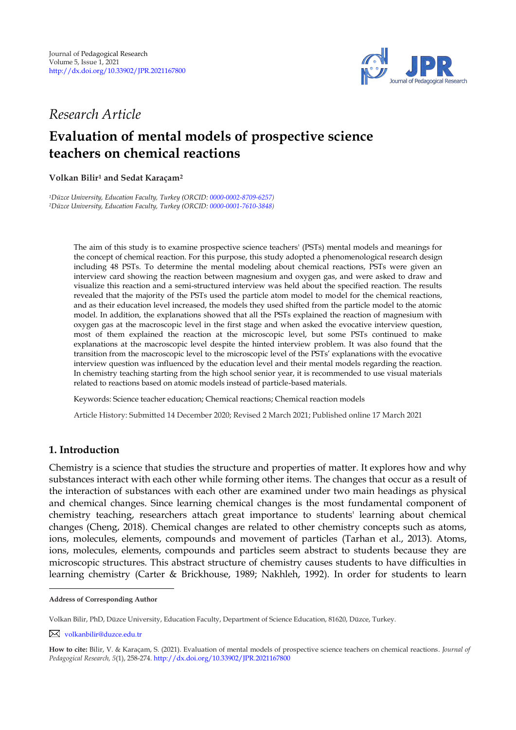

# *Research Article*

# **Evaluation of mental models of prospective science teachers on chemical reactions**

### **Volkan Bilir<sup>1</sup> and Sedat Karaçam 2 1**

*<sup>1</sup>Düzce University, Education Faculty, Turkey (ORCID[: 0000-0002-8709-6257\)](http://www.orcid.org/0000-0002-8709-6257) <sup>2</sup>Düzce University, Education Faculty, Turkey (ORCID[: 0000-0001-7610-3848\)](https://orcid.org/0000-0001-7610-3848)*

> The aim of this study is to examine prospective science teachers' (PSTs) mental models and meanings for the concept of chemical reaction. For this purpose, this study adopted a phenomenological research design including 48 PSTs. To determine the mental modeling about chemical reactions, PSTs were given an interview card showing the reaction between magnesium and oxygen gas, and were asked to draw and visualize this reaction and a semi-structured interview was held about the specified reaction. The results revealed that the majority of the PSTs used the particle atom model to model for the chemical reactions, and as their education level increased, the models they used shifted from the particle model to the atomic model. In addition, the explanations showed that all the PSTs explained the reaction of magnesium with oxygen gas at the macroscopic level in the first stage and when asked the evocative interview question, most of them explained the reaction at the microscopic level, but some PSTs continued to make explanations at the macroscopic level despite the hinted interview problem. It was also found that the transition from the macroscopic level to the microscopic level of the PSTs' explanations with the evocative interview question was influenced by the education level and their mental models regarding the reaction. In chemistry teaching starting from the high school senior year, it is recommended to use visual materials related to reactions based on atomic models instead of particle-based materials.

Keywords: Science teacher education; Chemical reactions; Chemical reaction models

Article History: Submitted 14 December 2020; Revised 2 March 2021; Published online 17 March 2021

# **1. Introduction**

Chemistry is a science that studies the structure and properties of matter. It explores how and why substances interact with each other while forming other items. The changes that occur as a result of the interaction of substances with each other are examined under two main headings as physical and chemical changes. Since learning chemical changes is the most fundamental component of chemistry teaching, researchers attach great importance to students' learning about chemical changes (Cheng, 2018). Chemical changes are related to other chemistry concepts such as atoms, ions, molecules, elements, compounds and movement of particles (Tarhan et al., 2013). Atoms, ions, molecules, elements, compounds and particles seem abstract to students because they are microscopic structures. This abstract structure of chemistry causes students to have difficulties in learning chemistry (Carter & Brickhouse, 1989; Nakhleh, 1992). In order for students to learn

**Address of Corresponding Author**

Volkan Bilir, PhD, Düzce University, Education Faculty, Department of Science Education, 81620, Düzce, Turkey.

[volkanbilir@duzce.edu.tr](mailto:volkanbilir@duzce.edu.tr)

**How to cite:** Bilir, V. & Karaçam, S. (2021). Evaluation of mental models of prospective science teachers on chemical reactions. *Journal of Pedagogical Research, 5*(1), 258-274. <http://dx.doi.org/10.33902/JPR.2021167800>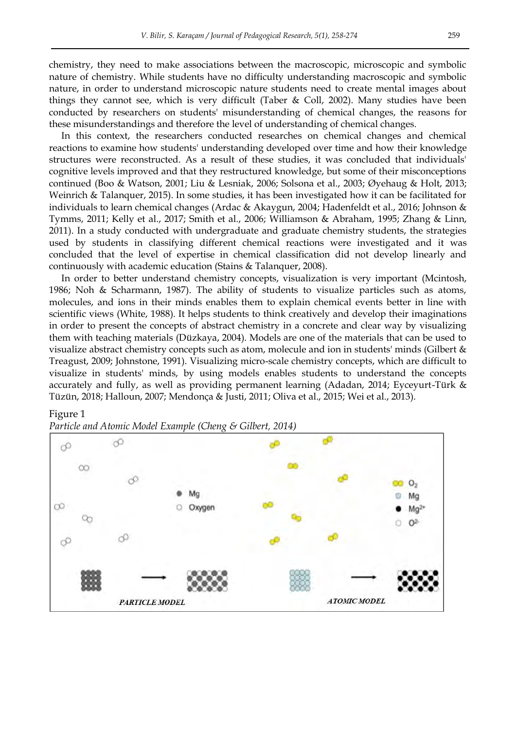chemistry, they need to make associations between the macroscopic, microscopic and symbolic nature of chemistry. While students have no difficulty understanding macroscopic and symbolic nature, in order to understand microscopic nature students need to create mental images about things they cannot see, which is very difficult (Taber & Coll, 2002). Many studies have been conducted by researchers on students' misunderstanding of chemical changes, the reasons for these misunderstandings and therefore the level of understanding of chemical changes.

In this context, the researchers conducted researches on chemical changes and chemical reactions to examine how students' understanding developed over time and how their knowledge structures were reconstructed. As a result of these studies, it was concluded that individuals' cognitive levels improved and that they restructured knowledge, but some of their misconceptions continued (Boo & Watson, 2001; Liu & Lesniak, 2006; Solsona et al., 2003; Øyehaug & Holt, 2013; Weinrich & Talanquer, 2015). In some studies, it has been investigated how it can be facilitated for individuals to learn chemical changes (Ardac & Akaygun, 2004; Hadenfeldt et al., 2016; Johnson & Tymms, 2011; Kelly et al., 2017; Smith et al., 2006; Williamson & Abraham, 1995; Zhang & Linn, 2011). In a study conducted with undergraduate and graduate chemistry students, the strategies used by students in classifying different chemical reactions were investigated and it was concluded that the level of expertise in chemical classification did not develop linearly and continuously with academic education (Stains & Talanquer, 2008).

In order to better understand chemistry concepts, visualization is very important (Mcintosh, 1986; Noh & Scharmann, 1987). The ability of students to visualize particles such as atoms, molecules, and ions in their minds enables them to explain chemical events better in line with scientific views (White, 1988). It helps students to think creatively and develop their imaginations in order to present the concepts of abstract chemistry in a concrete and clear way by visualizing them with teaching materials (Düzkaya, 2004). Models are one of the materials that can be used to visualize abstract chemistry concepts such as atom, molecule and ion in students' minds (Gilbert & Treagust, 2009; Johnstone, 1991). Visualizing micro-scale chemistry concepts, which are difficult to visualize in students' minds, by using models enables students to understand the concepts accurately and fully, as well as providing permanent learning (Adadan, 2014; Eyceyurt-Türk & Tüzün, 2018; Halloun, 2007; Mendonça & Justi, 2011; Oliva et al., 2015; Wei et al., 2013).

#### Figure 1



*Particle and Atomic Model Example (Cheng & Gilbert, 2014)*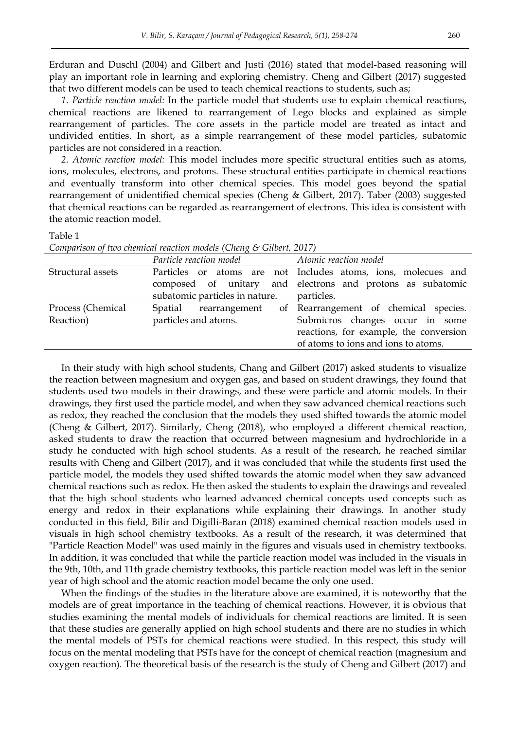Erduran and Duschl (2004) and Gilbert and Justi (2016) stated that model-based reasoning will play an important role in learning and exploring chemistry. Cheng and Gilbert (2017) suggested that two different models can be used to teach chemical reactions to students, such as;

*1. Particle reaction model:* In the particle model that students use to explain chemical reactions, chemical reactions are likened to rearrangement of Lego blocks and explained as simple rearrangement of particles. The core assets in the particle model are treated as intact and undivided entities. In short, as a simple rearrangement of these model particles, subatomic particles are not considered in a reaction.

*2. Atomic reaction model:* This model includes more specific structural entities such as atoms, ions, molecules, electrons, and protons. These structural entities participate in chemical reactions and eventually transform into other chemical species. This model goes beyond the spatial rearrangement of unidentified chemical species (Cheng & Gilbert, 2017). Taber (2003) suggested that chemical reactions can be regarded as rearrangement of electrons. This idea is consistent with the atomic reaction model.

Table 1

|                                | Particle reaction model                       | Atomic reaction model                                                                                                                                     |
|--------------------------------|-----------------------------------------------|-----------------------------------------------------------------------------------------------------------------------------------------------------------|
| Structural assets              | subatomic particles in nature.                | Particles or atoms are not Includes atoms, ions, molecues and<br>composed of unitary and electrons and protons as subatomic<br>particles.                 |
| Process (Chemical<br>Reaction) | Spatial rearrangement<br>particles and atoms. | of Rearrangement of chemical species.<br>Submicros changes occur in some<br>reactions, for example, the conversion<br>of atoms to ions and ions to atoms. |

*Comparison of two chemical reaction models (Cheng & Gilbert, 2017)*

In their study with high school students, Chang and Gilbert (2017) asked students to visualize the reaction between magnesium and oxygen gas, and based on student drawings, they found that students used two models in their drawings, and these were particle and atomic models. In their drawings, they first used the particle model, and when they saw advanced chemical reactions such as redox, they reached the conclusion that the models they used shifted towards the atomic model (Cheng & Gilbert, 2017). Similarly, Cheng (2018), who employed a different chemical reaction, asked students to draw the reaction that occurred between magnesium and hydrochloride in a study he conducted with high school students. As a result of the research, he reached similar results with Cheng and Gilbert (2017), and it was concluded that while the students first used the particle model, the models they used shifted towards the atomic model when they saw advanced chemical reactions such as redox. He then asked the students to explain the drawings and revealed that the high school students who learned advanced chemical concepts used concepts such as energy and redox in their explanations while explaining their drawings. In another study conducted in this field, Bilir and Digilli-Baran (2018) examined chemical reaction models used in visuals in high school chemistry textbooks. As a result of the research, it was determined that "Particle Reaction Model" was used mainly in the figures and visuals used in chemistry textbooks. In addition, it was concluded that while the particle reaction model was included in the visuals in the 9th, 10th, and 11th grade chemistry textbooks, this particle reaction model was left in the senior year of high school and the atomic reaction model became the only one used.

When the findings of the studies in the literature above are examined, it is noteworthy that the models are of great importance in the teaching of chemical reactions. However, it is obvious that studies examining the mental models of individuals for chemical reactions are limited. It is seen that these studies are generally applied on high school students and there are no studies in which the mental models of PSTs for chemical reactions were studied. In this respect, this study will focus on the mental modeling that PSTs have for the concept of chemical reaction (magnesium and oxygen reaction). The theoretical basis of the research is the study of Cheng and Gilbert (2017) and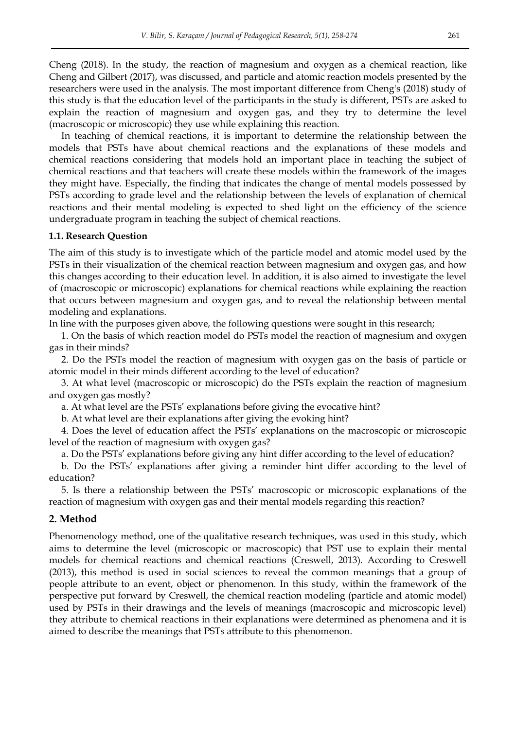Cheng (2018). In the study, the reaction of magnesium and oxygen as a chemical reaction, like Cheng and Gilbert (2017), was discussed, and particle and atomic reaction models presented by the researchers were used in the analysis. The most important difference from Cheng's (2018) study of this study is that the education level of the participants in the study is different, PSTs are asked to explain the reaction of magnesium and oxygen gas, and they try to determine the level (macroscopic or microscopic) they use while explaining this reaction.

In teaching of chemical reactions, it is important to determine the relationship between the models that PSTs have about chemical reactions and the explanations of these models and chemical reactions considering that models hold an important place in teaching the subject of chemical reactions and that teachers will create these models within the framework of the images they might have. Especially, the finding that indicates the change of mental models possessed by PSTs according to grade level and the relationship between the levels of explanation of chemical reactions and their mental modeling is expected to shed light on the efficiency of the science undergraduate program in teaching the subject of chemical reactions.

#### **1.1. Research Question**

The aim of this study is to investigate which of the particle model and atomic model used by the PSTs in their visualization of the chemical reaction between magnesium and oxygen gas, and how this changes according to their education level. In addition, it is also aimed to investigate the level of (macroscopic or microscopic) explanations for chemical reactions while explaining the reaction that occurs between magnesium and oxygen gas, and to reveal the relationship between mental modeling and explanations.

In line with the purposes given above, the following questions were sought in this research;

1. On the basis of which reaction model do PSTs model the reaction of magnesium and oxygen gas in their minds?

2. Do the PSTs model the reaction of magnesium with oxygen gas on the basis of particle or atomic model in their minds different according to the level of education?

3. At what level (macroscopic or microscopic) do the PSTs explain the reaction of magnesium and oxygen gas mostly?

a. At what level are the PSTs' explanations before giving the evocative hint?

b. At what level are their explanations after giving the evoking hint?

4. Does the level of education affect the PSTs' explanations on the macroscopic or microscopic level of the reaction of magnesium with oxygen gas?

a. Do the PSTs' explanations before giving any hint differ according to the level of education?

b. Do the PSTs' explanations after giving a reminder hint differ according to the level of education?

5. Is there a relationship between the PSTs' macroscopic or microscopic explanations of the reaction of magnesium with oxygen gas and their mental models regarding this reaction?

#### **2. Method**

Phenomenology method, one of the qualitative research techniques, was used in this study, which aims to determine the level (microscopic or macroscopic) that PST use to explain their mental models for chemical reactions and chemical reactions (Creswell, 2013). According to Creswell (2013), this method is used in social sciences to reveal the common meanings that a group of people attribute to an event, object or phenomenon. In this study, within the framework of the perspective put forward by Creswell, the chemical reaction modeling (particle and atomic model) used by PSTs in their drawings and the levels of meanings (macroscopic and microscopic level) they attribute to chemical reactions in their explanations were determined as phenomena and it is aimed to describe the meanings that PSTs attribute to this phenomenon.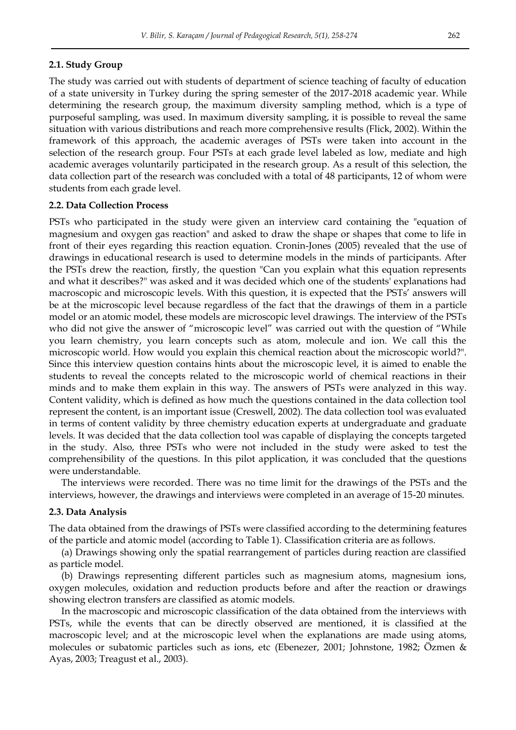#### **2.1. Study Group**

The study was carried out with students of department of science teaching of faculty of education of a state university in Turkey during the spring semester of the 2017-2018 academic year. While determining the research group, the maximum diversity sampling method, which is a type of purposeful sampling, was used. In maximum diversity sampling, it is possible to reveal the same situation with various distributions and reach more comprehensive results (Flick, 2002). Within the framework of this approach, the academic averages of PSTs were taken into account in the selection of the research group. Four PSTs at each grade level labeled as low, mediate and high academic averages voluntarily participated in the research group. As a result of this selection, the data collection part of the research was concluded with a total of 48 participants, 12 of whom were students from each grade level.

#### **2.2. Data Collection Process**

PSTs who participated in the study were given an interview card containing the "equation of magnesium and oxygen gas reaction" and asked to draw the shape or shapes that come to life in front of their eyes regarding this reaction equation. Cronin-Jones (2005) revealed that the use of drawings in educational research is used to determine models in the minds of participants. After the PSTs drew the reaction, firstly, the question "Can you explain what this equation represents and what it describes?" was asked and it was decided which one of the students' explanations had macroscopic and microscopic levels. With this question, it is expected that the PSTs' answers will be at the microscopic level because regardless of the fact that the drawings of them in a particle model or an atomic model, these models are microscopic level drawings. The interview of the PSTs who did not give the answer of "microscopic level" was carried out with the question of "While you learn chemistry, you learn concepts such as atom, molecule and ion. We call this the microscopic world. How would you explain this chemical reaction about the microscopic world?". Since this interview question contains hints about the microscopic level, it is aimed to enable the students to reveal the concepts related to the microscopic world of chemical reactions in their minds and to make them explain in this way. The answers of PSTs were analyzed in this way. Content validity, which is defined as how much the questions contained in the data collection tool represent the content, is an important issue (Creswell, 2002). The data collection tool was evaluated in terms of content validity by three chemistry education experts at undergraduate and graduate levels. It was decided that the data collection tool was capable of displaying the concepts targeted in the study. Also, three PSTs who were not included in the study were asked to test the comprehensibility of the questions. In this pilot application, it was concluded that the questions were understandable.

The interviews were recorded. There was no time limit for the drawings of the PSTs and the interviews, however, the drawings and interviews were completed in an average of 15-20 minutes.

#### **2.3. Data Analysis**

The data obtained from the drawings of PSTs were classified according to the determining features of the particle and atomic model (according to Table 1). Classification criteria are as follows.

(a) Drawings showing only the spatial rearrangement of particles during reaction are classified as particle model.

(b) Drawings representing different particles such as magnesium atoms, magnesium ions, oxygen molecules, oxidation and reduction products before and after the reaction or drawings showing electron transfers are classified as atomic models.

In the macroscopic and microscopic classification of the data obtained from the interviews with PSTs, while the events that can be directly observed are mentioned, it is classified at the macroscopic level; and at the microscopic level when the explanations are made using atoms, molecules or subatomic particles such as ions, etc (Ebenezer, 2001; Johnstone, 1982; Özmen & Ayas, 2003; Treagust et al., 2003).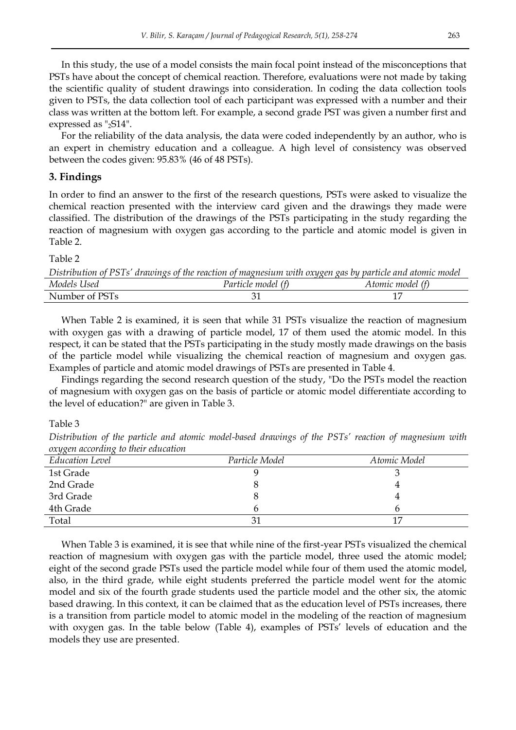In this study, the use of a model consists the main focal point instead of the misconceptions that PSTs have about the concept of chemical reaction. Therefore, evaluations were not made by taking the scientific quality of student drawings into consideration. In coding the data collection tools given to PSTs, the data collection tool of each participant was expressed with a number and their class was written at the bottom left. For example, a second grade PST was given a number first and expressed as "2S14".

For the reliability of the data analysis, the data were coded independently by an author, who is an expert in chemistry education and a colleague. A high level of consistency was observed between the codes given: 95.83% (46 of 48 PSTs).

## **3. Findings**

In order to find an answer to the first of the research questions, PSTs were asked to visualize the chemical reaction presented with the interview card given and the drawings they made were classified. The distribution of the drawings of the PSTs participating in the study regarding the reaction of magnesium with oxygen gas according to the particle and atomic model is given in Table 2.

Table 2

|                | Distribution of PSTs' drawings of the reaction of magnesium with oxygen gas by particle and atomic model |                  |
|----------------|----------------------------------------------------------------------------------------------------------|------------------|
| Models Used    | Particle model (f)                                                                                       | Atomic model (f) |
| Number of PSTs |                                                                                                          |                  |
|                |                                                                                                          |                  |

When Table 2 is examined, it is seen that while 31 PSTs visualize the reaction of magnesium with oxygen gas with a drawing of particle model, 17 of them used the atomic model. In this respect, it can be stated that the PSTs participating in the study mostly made drawings on the basis of the particle model while visualizing the chemical reaction of magnesium and oxygen gas. Examples of particle and atomic model drawings of PSTs are presented in Table 4.

Findings regarding the second research question of the study, "Do the PSTs model the reaction of magnesium with oxygen gas on the basis of particle or atomic model differentiate according to the level of education?" are given in Table 3.

Table 3

*Distribution of the particle and atomic model-based drawings of the PSTs' reaction of magnesium with oxygen according to their education* 

| - - - -                |                |              |
|------------------------|----------------|--------------|
| <b>Education Level</b> | Particle Model | Atomic Model |
| 1st Grade              |                |              |
| 2nd Grade              |                |              |
| 3rd Grade              |                |              |
| 4th Grade              |                |              |
| Total                  |                | 17           |

When Table 3 is examined, it is see that while nine of the first-year PSTs visualized the chemical reaction of magnesium with oxygen gas with the particle model, three used the atomic model; eight of the second grade PSTs used the particle model while four of them used the atomic model, also, in the third grade, while eight students preferred the particle model went for the atomic model and six of the fourth grade students used the particle model and the other six, the atomic based drawing. In this context, it can be claimed that as the education level of PSTs increases, there is a transition from particle model to atomic model in the modeling of the reaction of magnesium with oxygen gas. In the table below (Table 4), examples of PSTs' levels of education and the models they use are presented.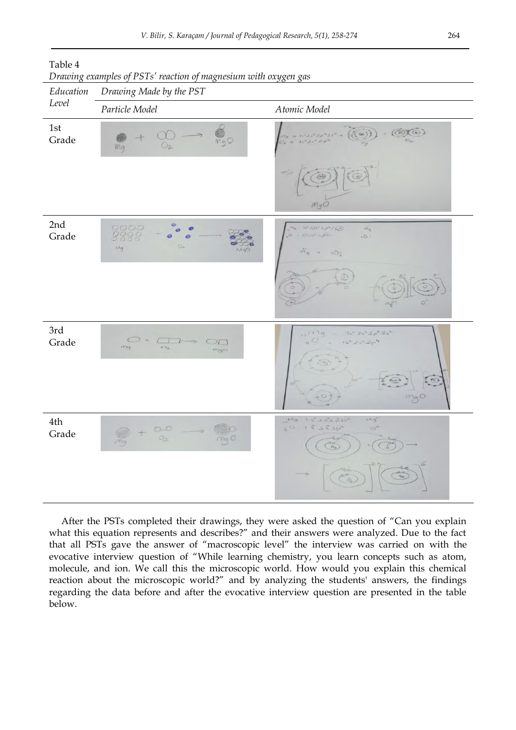

#### Table 4

*Education Level*

| 1st<br>Grade | mgO<br>O <sub>2</sub><br>mg                                                                                               | $+$ (OXO)<br>$\frac{m_3}{2}$ a maraphasin ((a))<br>mgO                                                                                       |
|--------------|---------------------------------------------------------------------------------------------------------------------------|----------------------------------------------------------------------------------------------------------------------------------------------|
| 2nd<br>Grade | 0000<br>O<br>$O_{ik}$<br>Mg<br><b>MgO</b>                                                                                 | $15^{2}/25^{2}$ Zph / $50^{20}$<br>$\ddot{m_3}$<br>$-18002000$<br>$\pm\tilde{\bigcirc}\rangle$ :<br>$\tilde{m_5}$ + $\tilde{m_2}$<br>$\odot$ |
| 3rd<br>Grade | $0 + \Box +$<br>$\Rightarrow$<br>OT<br>$O_{2}$<br>mg<br>mgo                                                               | $12^{11})$ = $15^{2}25^{2}20^{6}35^{8}$<br>$80 -$<br>$15^{2}25^{2}2\rho^{4}$<br>$\textcircled{r}$<br>0<br>mgo                                |
| 4th<br>Grade | $0 - 0$<br>$0 - 0$<br>$\Longleftrightarrow$<br>$\rightarrow$<br>$\begin{array}{c} + \end{array}$<br>mg<br>mg <sub>O</sub> | $M_9 + 222252$<br>$H^A$ 3<br>$3015252p^{4}$<br>$\binom{2\pi}{10}$<br>$\frac{1}{6}$<br>圖                                                      |

*Drawing examples of PSTs' reaction of magnesium with oxygen gas* 

After the PSTs completed their drawings, they were asked the question of "Can you explain what this equation represents and describes?" and their answers were analyzed. Due to the fact that all PSTs gave the answer of "macroscopic level" the interview was carried on with the evocative interview question of "While learning chemistry, you learn concepts such as atom, molecule, and ion. We call this the microscopic world. How would you explain this chemical reaction about the microscopic world?" and by analyzing the students' answers, the findings regarding the data before and after the evocative interview question are presented in the table below.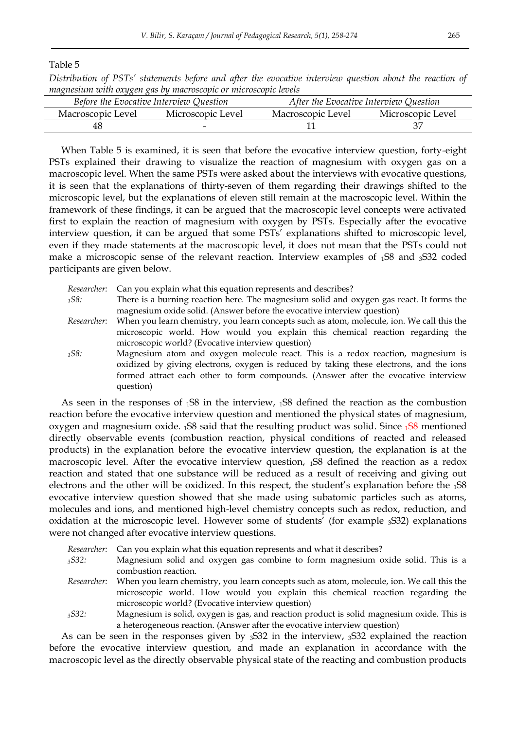Table 5

*Distribution of PSTs' statements before and after the evocative interview question about the reaction of magnesium with oxygen gas by macroscopic or microscopic levels* 

|                   | Before the Evocative Interview Question | After the Evocative Interview Question |                   |
|-------------------|-----------------------------------------|----------------------------------------|-------------------|
| Macroscopic Level | Microscopic Level                       | Macroscopic Level                      | Microscopic Level |
| 48                | -                                       |                                        |                   |

When Table 5 is examined, it is seen that before the evocative interview question, forty-eight PSTs explained their drawing to visualize the reaction of magnesium with oxygen gas on a macroscopic level. When the same PSTs were asked about the interviews with evocative questions, it is seen that the explanations of thirty-seven of them regarding their drawings shifted to the microscopic level, but the explanations of eleven still remain at the macroscopic level. Within the framework of these findings, it can be argued that the macroscopic level concepts were activated first to explain the reaction of magnesium with oxygen by PSTs. Especially after the evocative interview question, it can be argued that some PSTs' explanations shifted to microscopic level, even if they made statements at the macroscopic level, it does not mean that the PSTs could not make a microscopic sense of the relevant reaction. Interview examples of 1S8 and 3S32 coded participants are given below.

*Researcher:* Can you explain what this equation represents and describes?

- *<sup>1</sup>S8:* There is a burning reaction here. The magnesium solid and oxygen gas react. It forms the magnesium oxide solid. (Answer before the evocative interview question)
- *Researcher:* When you learn chemistry, you learn concepts such as atom, molecule, ion. We call this the microscopic world. How would you explain this chemical reaction regarding the microscopic world? (Evocative interview question)
- *<sup>1</sup>S8:* Magnesium atom and oxygen molecule react. This is a redox reaction, magnesium is oxidized by giving electrons, oxygen is reduced by taking these electrons, and the ions formed attract each other to form compounds. (Answer after the evocative interview question)

As seen in the responses of 1S8 in the interview, 1S8 defined the reaction as the combustion reaction before the evocative interview question and mentioned the physical states of magnesium, oxygen and magnesium oxide.  $158$  said that the resulting product was solid. Since  $158$  mentioned directly observable events (combustion reaction, physical conditions of reacted and released products) in the explanation before the evocative interview question, the explanation is at the macroscopic level. After the evocative interview question, 1S8 defined the reaction as a redox reaction and stated that one substance will be reduced as a result of receiving and giving out electrons and the other will be oxidized. In this respect, the student's explanation before the  $1S_8$ evocative interview question showed that she made using subatomic particles such as atoms, molecules and ions, and mentioned high-level chemistry concepts such as redox, reduction, and oxidation at the microscopic level. However some of students' (for example 3S32) explanations were not changed after evocative interview questions.

- *Researcher:* Can you explain what this equation represents and what it describes?
- *<sup>3</sup>S32:* Magnesium solid and oxygen gas combine to form magnesium oxide solid. This is a combustion reaction.
- *Researcher:* When you learn chemistry, you learn concepts such as atom, molecule, ion. We call this the microscopic world. How would you explain this chemical reaction regarding the microscopic world? (Evocative interview question)
- *<sup>3</sup>S32:* Magnesium is solid, oxygen is gas, and reaction product is solid magnesium oxide. This is a heterogeneous reaction. (Answer after the evocative interview question)

As can be seen in the responses given by 3S32 in the interview, 3S32 explained the reaction before the evocative interview question, and made an explanation in accordance with the macroscopic level as the directly observable physical state of the reacting and combustion products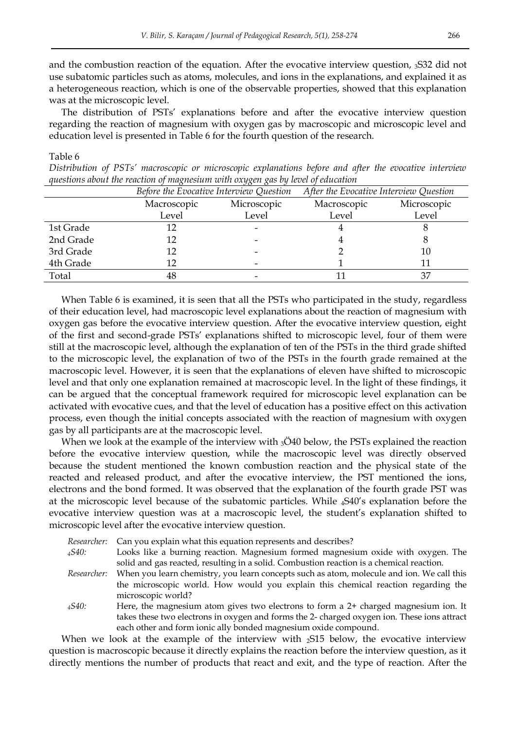and the combustion reaction of the equation. After the evocative interview question, 3S32 did not use subatomic particles such as atoms, molecules, and ions in the explanations, and explained it as a heterogeneous reaction, which is one of the observable properties, showed that this explanation was at the microscopic level.

The distribution of PSTs' explanations before and after the evocative interview question regarding the reaction of magnesium with oxygen gas by macroscopic and microscopic level and education level is presented in Table 6 for the fourth question of the research.

#### Table 6

*Distribution of PSTs' macroscopic or microscopic explanations before and after the evocative interview questions about the reaction of magnesium with oxygen gas by level of education* 

|           | Before the Evocative Interview Question |             | After the Evocative Interview Question |             |
|-----------|-----------------------------------------|-------------|----------------------------------------|-------------|
|           | Macroscopic                             | Microscopic | Macroscopic                            | Microscopic |
|           | Level                                   | Level       | Level                                  | Level       |
| 1st Grade | 12                                      |             |                                        |             |
| 2nd Grade | 12                                      |             |                                        |             |
| 3rd Grade | 12                                      |             |                                        | 10          |
| 4th Grade | 12                                      |             |                                        |             |
| Total     | 48                                      |             |                                        |             |

When Table 6 is examined, it is seen that all the PSTs who participated in the study, regardless of their education level, had macroscopic level explanations about the reaction of magnesium with oxygen gas before the evocative interview question. After the evocative interview question, eight of the first and second-grade PSTs' explanations shifted to microscopic level, four of them were still at the macroscopic level, although the explanation of ten of the PSTs in the third grade shifted to the microscopic level, the explanation of two of the PSTs in the fourth grade remained at the macroscopic level. However, it is seen that the explanations of eleven have shifted to microscopic level and that only one explanation remained at macroscopic level. In the light of these findings, it can be argued that the conceptual framework required for microscopic level explanation can be activated with evocative cues, and that the level of education has a positive effect on this activation process, even though the initial concepts associated with the reaction of magnesium with oxygen gas by all participants are at the macroscopic level.

When we look at the example of the interview with  $3\overline{O}40$  below, the PSTs explained the reaction before the evocative interview question, while the macroscopic level was directly observed because the student mentioned the known combustion reaction and the physical state of the reacted and released product, and after the evocative interview, the PST mentioned the ions, electrons and the bond formed. It was observed that the explanation of the fourth grade PST was at the microscopic level because of the subatomic particles. While 4S40's explanation before the evocative interview question was at a macroscopic level, the student's explanation shifted to microscopic level after the evocative interview question.

| Researcher: | Can you explain what this equation represents and describes?                                |
|-------------|---------------------------------------------------------------------------------------------|
| 4540:       | Looks like a burning reaction. Magnesium formed magnesium oxide with oxygen. The            |
|             | solid and gas reacted, resulting in a solid. Combustion reaction is a chemical reaction.    |
| Researcher: | When you learn chemistry, you learn concepts such as atom, molecule and ion. We call this   |
|             | the microscopic world. How would you explain this chemical reaction regarding the           |
|             | microscopic world?                                                                          |
| 4540:       | Here, the magnesium atom gives two electrons to form a $2+$ charged magnesium ion. It       |
|             | takes these two electrons in oxygen and forms the 2- charged oxygen ion. These ions attract |
|             | each other and form ionic ally bonded magnesium oxide compound.                             |

When we look at the example of the interview with  $_2S15$  below, the evocative interview question is macroscopic because it directly explains the reaction before the interview question, as it directly mentions the number of products that react and exit, and the type of reaction. After the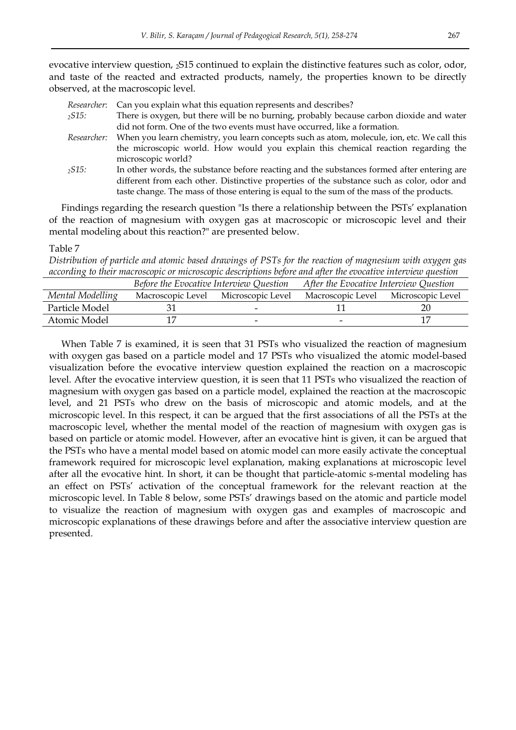evocative interview question, 2S15 continued to explain the distinctive features such as color, odor, and taste of the reacted and extracted products, namely, the properties known to be directly observed, at the macroscopic level.

| Researcher: Can you explain what this equation represents and describes? |  |  |  |  |  |
|--------------------------------------------------------------------------|--|--|--|--|--|
|--------------------------------------------------------------------------|--|--|--|--|--|

- *<sup>2</sup>S15:* There is oxygen, but there will be no burning, probably because carbon dioxide and water did not form. One of the two events must have occurred, like a formation.
- *Researcher:* When you learn chemistry, you learn concepts such as atom, molecule, ion, etc. We call this the microscopic world. How would you explain this chemical reaction regarding the microscopic world?
- *<sup>2</sup>S15:* In other words, the substance before reacting and the substances formed after entering are different from each other. Distinctive properties of the substance such as color, odor and taste change. The mass of those entering is equal to the sum of the mass of the products.

Findings regarding the research question "Is there a relationship between the PSTs' explanation of the reaction of magnesium with oxygen gas at macroscopic or microscopic level and their mental modeling about this reaction?" are presented below.

#### Table 7

*Distribution of particle and atomic based drawings of PSTs for the reaction of magnesium with oxygen gas according to their macroscopic or microscopic descriptions before and after the evocative interview question* 

|                  | Before the Evocative Interview Question |                          | After the Evocative Interview Question |                   |
|------------------|-----------------------------------------|--------------------------|----------------------------------------|-------------------|
| Mental Modelling | Macroscopic Level                       | Microscopic Level        | Macroscopic Level                      | Microscopic Level |
| Particle Model   |                                         | $\overline{\phantom{0}}$ |                                        | 20                |
| Atomic Model     |                                         |                          | -                                      |                   |

When Table 7 is examined, it is seen that 31 PSTs who visualized the reaction of magnesium with oxygen gas based on a particle model and 17 PSTs who visualized the atomic model-based visualization before the evocative interview question explained the reaction on a macroscopic level. After the evocative interview question, it is seen that 11 PSTs who visualized the reaction of magnesium with oxygen gas based on a particle model, explained the reaction at the macroscopic level, and 21 PSTs who drew on the basis of microscopic and atomic models, and at the microscopic level. In this respect, it can be argued that the first associations of all the PSTs at the macroscopic level, whether the mental model of the reaction of magnesium with oxygen gas is based on particle or atomic model. However, after an evocative hint is given, it can be argued that the PSTs who have a mental model based on atomic model can more easily activate the conceptual framework required for microscopic level explanation, making explanations at microscopic level after all the evocative hint. In short, it can be thought that particle-atomic s-mental modeling has an effect on PSTs' activation of the conceptual framework for the relevant reaction at the microscopic level. In Table 8 below, some PSTs' drawings based on the atomic and particle model to visualize the reaction of magnesium with oxygen gas and examples of macroscopic and microscopic explanations of these drawings before and after the associative interview question are presented.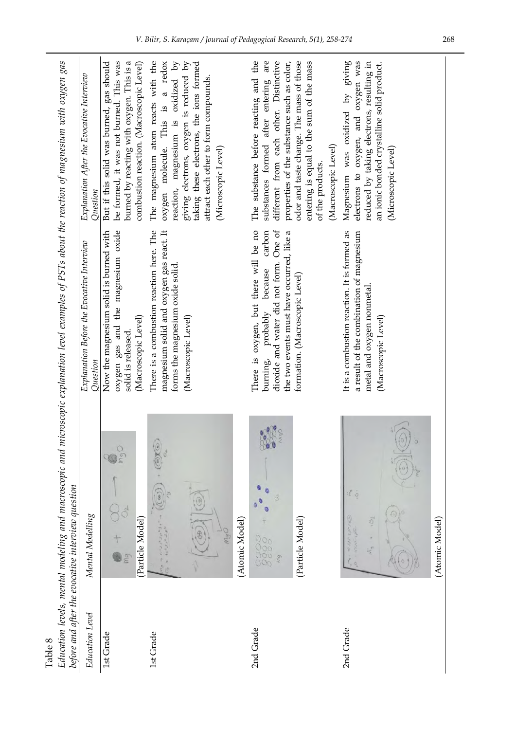| Table 8         |                                                                                                            |                                                                                                                                                              |                                                                                                                                                                                                                                                                   |
|-----------------|------------------------------------------------------------------------------------------------------------|--------------------------------------------------------------------------------------------------------------------------------------------------------------|-------------------------------------------------------------------------------------------------------------------------------------------------------------------------------------------------------------------------------------------------------------------|
|                 | Education levels, mental modeling and macroscopic and<br>before and after the evocative interview question | microscopic explanation level examples of PSTs about the reaction of magnesium with oxygen gas                                                               |                                                                                                                                                                                                                                                                   |
| Education Level | Mental Modelling                                                                                           | Explanation Before the Evocative Interview<br>Question                                                                                                       | Explanation After the Evocative Interview<br>Question                                                                                                                                                                                                             |
| 1st Grade       | mgO<br>(Particle Model)<br>mg                                                                              | oxygen gas and the magnesium oxide<br>Now the magnesium solid is burned with<br>(Macroscopic Level)<br>solid is released.                                    | be formed, it was not burned. This was<br>burned by reacting with oxygen. This is a<br>But if this solid was burned, gas should<br>combustion reaction. (Macroscopic Level)                                                                                       |
| 1st Grade       | $\partial x$                                                                                               | There is a combustion reaction here. The<br>magnesium solid and oxygen gas react. It<br>forms the magnesium oxide solid.<br>(Macroscopic Level)              | The magnesium atom reacts with the<br>taking these electrons, the ions formed<br>oxygen molecule. This is a redox<br>reaction, magnesium is oxidized by<br>giving electrons, oxygen is reduced by<br>attract each other to form compounds.<br>(Microscopic Level) |
| 2nd Grade       | (Atomic Model)                                                                                             | There is oxygen, but there will be no                                                                                                                        | The substance before reacting and the                                                                                                                                                                                                                             |
|                 | Oby<br>Coco<br>(Particle Model)<br>0000<br>0000<br>000<br>Mg                                               | carbon<br>dioxide and water did not form. One of<br>the two events must have occurred, like a<br>burning, probably because<br>formation. (Macroscopic Level) | substances formed after entering are<br>different from each other. Distinctive<br>properties of the substance such as color,<br>odor and taste change. The mass of those<br>entering is equal to the sum of the mass<br>(Macroscopic Level)<br>of the products.   |
| 2nd Grade       | $\sum_{i=1}^{N}$<br>$\ddot{\circ}$<br>iscy<br>$\frac{1}{2}$                                                | It is a combustion reaction. It is formed as<br>a result of the combination of magnesium<br>metal and oxygen nonmetal.<br>(Macroscopic Level)                | reduced by taking electrons, resulting in<br>Magnesium was oxidized by giving<br>electrons to oxygen, and oxygen was<br>an ionic bonded crystalline solid product.<br>(Microscopic Level)                                                                         |
|                 | (Atomic Model)                                                                                             |                                                                                                                                                              |                                                                                                                                                                                                                                                                   |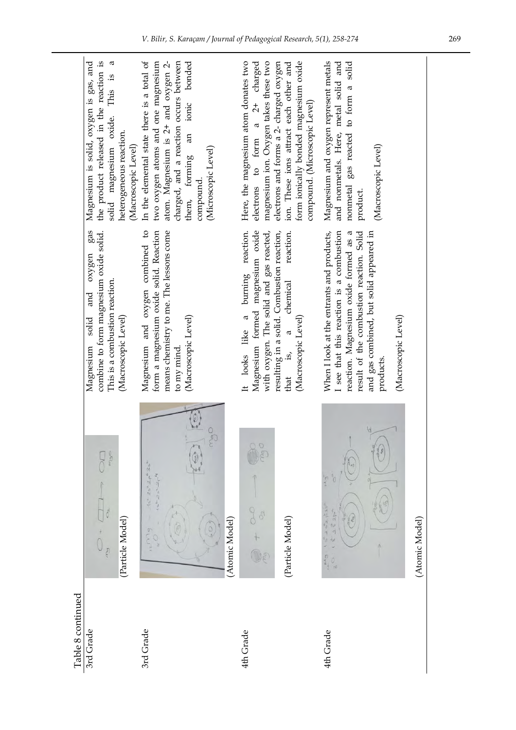|                   | the product released in the reaction is<br>Ø<br>Magnesium is solid, oxygen is gas, and<br>solid magnesium oxide. This is<br>heterogeneous reaction.<br>(Macroscopic Level)<br>gas | charged, and a reaction occurs between<br>atom. Magnesium is 2+ and oxygen 2-<br>two oxygen atoms and one magnesium<br>bonded<br>In the elemental state there is a total of<br>ionic<br>$\overline{a}$<br>(Microscopic Level)<br>them, forming<br>compound. | form ionically bonded magnesium oxide<br>Here, the magnesium atom donates two<br>magnesium ion. Oxygen takes these two<br>electrons and forms a 2- charged oxygen<br>electrons to form a 2+ charged<br>ion. These ions attract each other and<br>compound. (Microscopic Level) | Magnesium and oxygen represent metals<br>and nonmetals. Here, metal solid and<br>nonmetal gas reacted to form a solid<br>(Macroscopic Level)<br>product.                                                                                                  |                |
|-------------------|-----------------------------------------------------------------------------------------------------------------------------------------------------------------------------------|-------------------------------------------------------------------------------------------------------------------------------------------------------------------------------------------------------------------------------------------------------------|--------------------------------------------------------------------------------------------------------------------------------------------------------------------------------------------------------------------------------------------------------------------------------|-----------------------------------------------------------------------------------------------------------------------------------------------------------------------------------------------------------------------------------------------------------|----------------|
|                   | combine to form magnesium oxide solid.<br>oxygen<br>This is a combustion reaction.<br>and<br>solid<br>(Macroscopic Level)<br>Magnesium                                            | Magnesium and oxygen combined to<br>form a magnesium oxide solid. Reaction<br>means chemistry to me. The lessons come<br>(Macroscopic Level)<br>to my mind                                                                                                  | Magnesium formed magnesium oxide<br>burning reaction.<br>with oxygen. The solid and gas reacted,<br>resulting in a solid. Combustion reaction,<br>reaction.<br>chemical<br>$\mathfrak{a}$<br>(Macroscopic Level)<br>It looks like<br>that is,                                  | When I look at the entrants and products,<br>I see that this reaction is a combustion<br>result of the combustion reaction. Solid<br>reaction. Magnesium oxide formed as a<br>and gas combined, but solid appeared in<br>(Macroscopic Level)<br>products. |                |
|                   | p<br>(Particle Model)<br>$\overline{c}$                                                                                                                                           | $\sigma$<br>$15^{2}-25^{2}-20^{2}$<br>$1s^{2}$ $2s^{2}$<br>(Atomic Model)<br>Mq                                                                                                                                                                             | 8<br>$\circ$<br>(Particle Model)                                                                                                                                                                                                                                               | *0<br>$\frac{a}{b}$<br>25253<br>$252p^2$<br>西<br>$\frac{1}{2}$<br>$\frac{0}{8}$                                                                                                                                                                           | (Atomic Model) |
| Table 8 continued | 3rd Grade                                                                                                                                                                         | 3rd Grade                                                                                                                                                                                                                                                   | 4th Grade                                                                                                                                                                                                                                                                      | 4th Grade                                                                                                                                                                                                                                                 |                |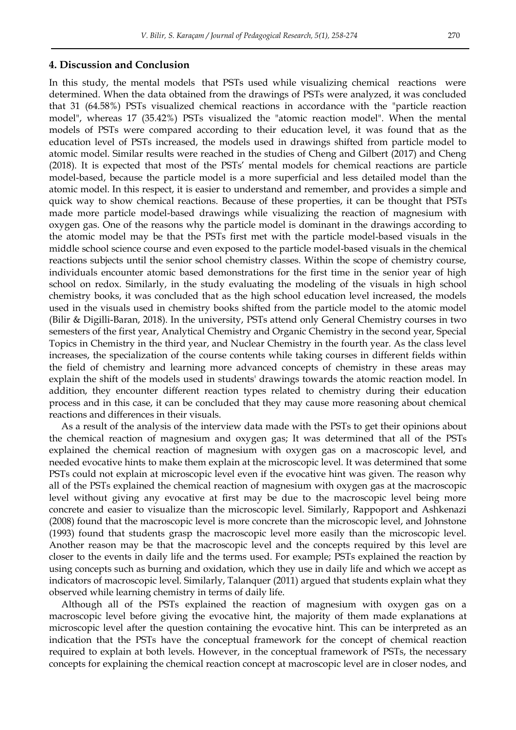#### **4. Discussion and Conclusion**

In this study, the mental models that PSTs used while visualizing chemical reactions were determined. When the data obtained from the drawings of PSTs were analyzed, it was concluded that 31 (64.58%) PSTs visualized chemical reactions in accordance with the "particle reaction model", whereas 17 (35.42%) PSTs visualized the "atomic reaction model". When the mental models of PSTs were compared according to their education level, it was found that as the education level of PSTs increased, the models used in drawings shifted from particle model to atomic model. Similar results were reached in the studies of Cheng and Gilbert (2017) and Cheng (2018). It is expected that most of the PSTs' mental models for chemical reactions are particle model-based, because the particle model is a more superficial and less detailed model than the atomic model. In this respect, it is easier to understand and remember, and provides a simple and quick way to show chemical reactions. Because of these properties, it can be thought that PSTs made more particle model-based drawings while visualizing the reaction of magnesium with oxygen gas. One of the reasons why the particle model is dominant in the drawings according to the atomic model may be that the PSTs first met with the particle model-based visuals in the middle school science course and even exposed to the particle model-based visuals in the chemical reactions subjects until the senior school chemistry classes. Within the scope of chemistry course, individuals encounter atomic based demonstrations for the first time in the senior year of high school on redox. Similarly, in the study evaluating the modeling of the visuals in high school chemistry books, it was concluded that as the high school education level increased, the models used in the visuals used in chemistry books shifted from the particle model to the atomic model (Bilir & Digilli-Baran, 2018). In the university, PSTs attend only General Chemistry courses in two semesters of the first year, Analytical Chemistry and Organic Chemistry in the second year, Special Topics in Chemistry in the third year, and Nuclear Chemistry in the fourth year. As the class level increases, the specialization of the course contents while taking courses in different fields within the field of chemistry and learning more advanced concepts of chemistry in these areas may explain the shift of the models used in students' drawings towards the atomic reaction model. In addition, they encounter different reaction types related to chemistry during their education process and in this case, it can be concluded that they may cause more reasoning about chemical reactions and differences in their visuals.

As a result of the analysis of the interview data made with the PSTs to get their opinions about the chemical reaction of magnesium and oxygen gas; It was determined that all of the PSTs explained the chemical reaction of magnesium with oxygen gas on a macroscopic level, and needed evocative hints to make them explain at the microscopic level. It was determined that some PSTs could not explain at microscopic level even if the evocative hint was given. The reason why all of the PSTs explained the chemical reaction of magnesium with oxygen gas at the macroscopic level without giving any evocative at first may be due to the macroscopic level being more concrete and easier to visualize than the microscopic level. Similarly, Rappoport and Ashkenazi (2008) found that the macroscopic level is more concrete than the microscopic level, and Johnstone (1993) found that students grasp the macroscopic level more easily than the microscopic level. Another reason may be that the macroscopic level and the concepts required by this level are closer to the events in daily life and the terms used. For example; PSTs explained the reaction by using concepts such as burning and oxidation, which they use in daily life and which we accept as indicators of macroscopic level. Similarly, Talanquer (2011) argued that students explain what they observed while learning chemistry in terms of daily life.

Although all of the PSTs explained the reaction of magnesium with oxygen gas on a macroscopic level before giving the evocative hint, the majority of them made explanations at microscopic level after the question containing the evocative hint. This can be interpreted as an indication that the PSTs have the conceptual framework for the concept of chemical reaction required to explain at both levels. However, in the conceptual framework of PSTs, the necessary concepts for explaining the chemical reaction concept at macroscopic level are in closer nodes, and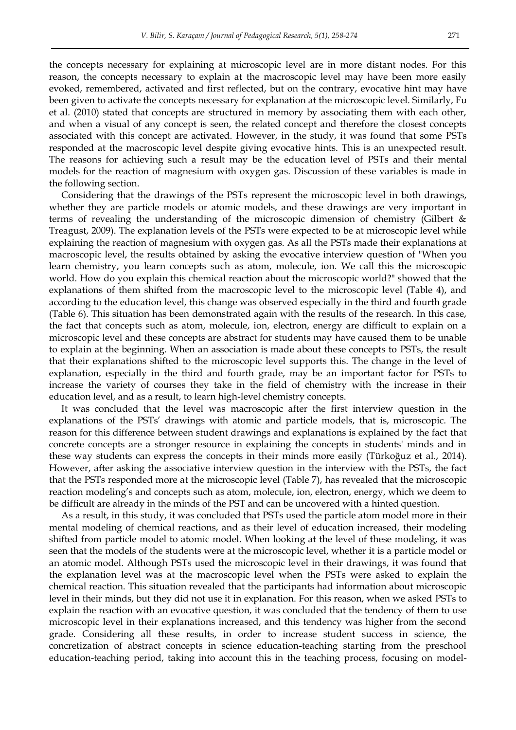the concepts necessary for explaining at microscopic level are in more distant nodes. For this reason, the concepts necessary to explain at the macroscopic level may have been more easily evoked, remembered, activated and first reflected, but on the contrary, evocative hint may have been given to activate the concepts necessary for explanation at the microscopic level. Similarly, Fu et al. (2010) stated that concepts are structured in memory by associating them with each other, and when a visual of any concept is seen, the related concept and therefore the closest concepts associated with this concept are activated. However, in the study, it was found that some PSTs responded at the macroscopic level despite giving evocative hints. This is an unexpected result. The reasons for achieving such a result may be the education level of PSTs and their mental models for the reaction of magnesium with oxygen gas. Discussion of these variables is made in the following section.

Considering that the drawings of the PSTs represent the microscopic level in both drawings, whether they are particle models or atomic models, and these drawings are very important in terms of revealing the understanding of the microscopic dimension of chemistry (Gilbert & Treagust, 2009). The explanation levels of the PSTs were expected to be at microscopic level while explaining the reaction of magnesium with oxygen gas. As all the PSTs made their explanations at macroscopic level, the results obtained by asking the evocative interview question of "When you learn chemistry, you learn concepts such as atom, molecule, ion. We call this the microscopic world. How do you explain this chemical reaction about the microscopic world?" showed that the explanations of them shifted from the macroscopic level to the microscopic level (Table 4), and according to the education level, this change was observed especially in the third and fourth grade (Table 6). This situation has been demonstrated again with the results of the research. In this case, the fact that concepts such as atom, molecule, ion, electron, energy are difficult to explain on a microscopic level and these concepts are abstract for students may have caused them to be unable to explain at the beginning. When an association is made about these concepts to PSTs, the result that their explanations shifted to the microscopic level supports this. The change in the level of explanation, especially in the third and fourth grade, may be an important factor for PSTs to increase the variety of courses they take in the field of chemistry with the increase in their education level, and as a result, to learn high-level chemistry concepts.

It was concluded that the level was macroscopic after the first interview question in the explanations of the PSTs' drawings with atomic and particle models, that is, microscopic. The reason for this difference between student drawings and explanations is explained by the fact that concrete concepts are a stronger resource in explaining the concepts in students' minds and in these way students can express the concepts in their minds more easily (Türkoğuz et al., 2014). However, after asking the associative interview question in the interview with the PSTs, the fact that the PSTs responded more at the microscopic level (Table 7), has revealed that the microscopic reaction modeling's and concepts such as atom, molecule, ion, electron, energy, which we deem to be difficult are already in the minds of the PST and can be uncovered with a hinted question.

As a result, in this study, it was concluded that PSTs used the particle atom model more in their mental modeling of chemical reactions, and as their level of education increased, their modeling shifted from particle model to atomic model. When looking at the level of these modeling, it was seen that the models of the students were at the microscopic level, whether it is a particle model or an atomic model. Although PSTs used the microscopic level in their drawings, it was found that the explanation level was at the macroscopic level when the PSTs were asked to explain the chemical reaction. This situation revealed that the participants had information about microscopic level in their minds, but they did not use it in explanation. For this reason, when we asked PSTs to explain the reaction with an evocative question, it was concluded that the tendency of them to use microscopic level in their explanations increased, and this tendency was higher from the second grade. Considering all these results, in order to increase student success in science, the concretization of abstract concepts in science education-teaching starting from the preschool education-teaching period, taking into account this in the teaching process, focusing on model-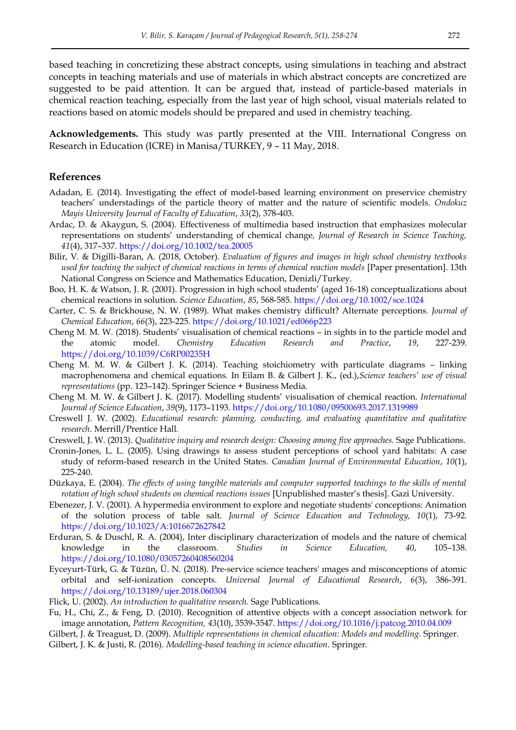based teaching in concretizing these abstract concepts, using simulations in teaching and abstract concepts in teaching materials and use of materials in which abstract concepts are concretized are suggested to be paid attention. It can be argued that, instead of particle-based materials in chemical reaction teaching, especially from the last year of high school, visual materials related to reactions based on atomic models should be prepared and used in chemistry teaching.

**Acknowledgements.** This study was partly presented at the VIII. International Congress on Research in Education (ICRE) in Manisa/TURKEY, 9 – 11 May, 2018.

#### **References**

- Adadan, E. (2014). Investigating the effect of model-based learning environment on preservice chemistry teachers' understadings of the particle theory of matter and the nature of scientific models. *Ondokuz Mayis University Journal of Faculty of Education*, *33*(2), 378-403.
- Ardac, D. & Akaygun, S. (2004). Effectiveness of multimedia based instruction that emphasizes molecular representations on students' understanding of chemical change*, Journal of Research in Science Teaching, 41*(4), 317–337[. https://doi.org/10.1002/tea.20005](https://doi.org/10.1002/tea.20005)
- Bilir, V. & Digilli-Baran, A. (2018, October). *Evaluation of figures and images in high school chemistry textbooks used for teaching the subject of chemical reactions in terms of chemical reaction models* [Paper presentation]. 13th National Congress on Science and Mathematics Education, Denizli/Turkey.
- Boo, H. K. & Watson, J. R. (2001). Progression in high school students' (aged 16-18) conceptualizations about chemical reactions in solution. *Science Education*, *85*, 568-585.<https://doi.org/10.1002/sce.1024>
- Carter, C. S. & Brickhouse, N. W. (1989). What makes chemistry difficult? Alternate perceptions. *Journal of Chemical Education*, *66*(3), 223-225.<https://doi.org/10.1021/ed066p223>
- Cheng M. M. W. (2018). Students' visualisation of chemical reactions in sights in to the particle model and the atomic model. *Chemistry Education Research and Practice*, *19*, 227-239. <https://doi.org/10.1039/C6RP00235H>
- Cheng M. M. W. & Gilbert J. K. (2014). Teaching stoichiometry with particulate diagrams linking macrophenomena and chemical equations*.* In Eilam B. & Gilbert J. K., (ed.),*Science teachers' use of visual representations* (pp. 123–142). Springer Science + Business Media.
- Cheng M. M. W. & Gilbert J. K. (2017). Modelling students' visualisation of chemical reaction. *International Journal of Science Education*, *39*(9), 1173–1193.<https://doi.org/10.1080/09500693.2017.1319989>
- Creswell J. W. (2002). *Educational research: planning, conducting, and evaluating quantitative and qualitative research*. Merrill/Prentice Hall.
- Creswell, J. W. (2013). *Qualitative inquiry and research design: Choosing among five approaches.* Sage Publications.
- Cronin-Jones, L. L. (2005). Using drawings to assess student perceptions of school yard habitats: A case study of reform-based research in the United States. *Canadian Journal of Environmental Education*, *10*(1), 225-240.
- Düzkaya, E. (2004). *The effects of using tangible materials and computer supported teachings to the skills of mental rotation of high school students on chemical reactions issues* [Unpublished master's thesis]. Gazi University.
- Ebenezer, J. V. (2001). A hypermedia environment to explore and negotiate students' conceptions: Animation of the solution process of table salt. *Journal of Science Education and Technology, 10*(1), 73-92. <https://doi.org/10.1023/A:1016672627842>
- Erduran, S. & Duschl, R. A. (2004), Inter disciplinary characterization of models and the nature of chemical knowledge in the classroom. *Studies in Science Education, 40*, 105–138. <https://doi.org/10.1080/03057260408560204>
- Eyceyurt-Türk, G. & Tüzün, Ü. N. (2018). Pre-service science teachers' ımages and misconceptions of atomic orbital and self-ionization concepts. *Universal Journal of Educational Research*, *6*(3), 386-391. <https://doi.org/10.13189/ujer.2018.060304>
- Flick, U. (2002). *An introduction to qualitative research.* Sage Publications.
- Fu, H., Chi, Z., & Feng, D. (2010). Recognition of attentive objects with a concept association network for image annotation, *Pattern Recognition, 43*(10), 3539-3547.<https://doi.org/10.1016/j.patcog.2010.04.009>
- Gilbert, J. & Treagust, D. (2009). *Multiple representations in chemical education: Models and modelling.* Springer.
- Gilbert, J. K. & Justi, R. (2016). *Modelling-based teaching in science education*. Springer.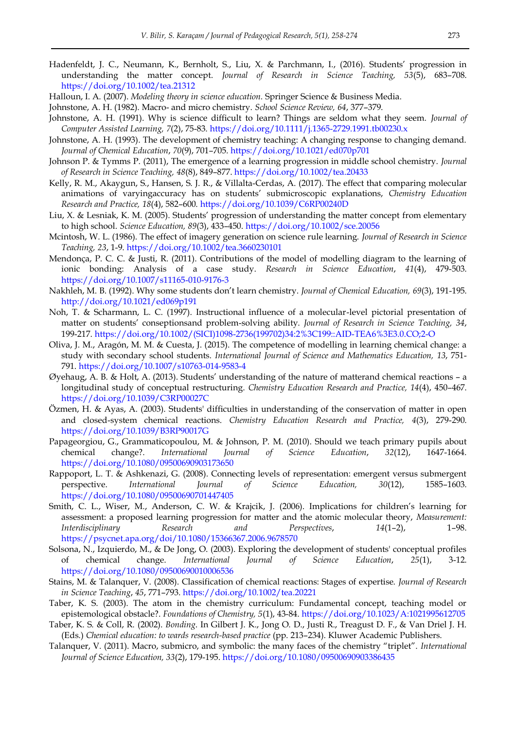- Hadenfeldt, J. C., Neumann, K., Bernholt, S., Liu, X. & Parchmann, I., (2016). Students' progression in understanding the matter concept. *Journal of Research in Science Teaching, 53*(5), 683–708. <https://doi.org/10.1002/tea.21312>
- Halloun, I. A. (2007). *Modeling theory in science education.* Springer Science & Business Media.
- Johnstone, A. H. (1982). Macro- and micro chemistry. *School Science Review, 64*, 377–379.
- Johnstone, A. H. (1991). Why is science difficult to learn? Things are seldom what they seem. *Journal of Computer Assisted Learning, 7*(2), 75-83.<https://doi.org/10.1111/j.1365-2729.1991.tb00230.x>
- Johnstone, A. H. (1993). The development of chemistry teaching: A changing response to changing demand. *Journal of Chemical Education*, *70*(9), 701–705.<https://doi.org/10.1021/ed070p701>
- Johnson P. & Tymms P. (2011), The emergence of a learning progression in middle school chemistry. *Journal of Research in Science Teaching, 48*(8), 849–877[. https://doi.org/10.1002/tea.20433](https://doi.org/10.1002/tea.20433)
- Kelly, R. M., Akaygun, S., Hansen, S. J. R., & Villalta-Cerdas, A. (2017). The effect that comparing molecular animations of varyingaccuracy has on students' submicroscopic explanations, *Chemistry Education Research and Practice, 18*(4), 582–600.<https://doi.org/10.1039/C6RP00240D>
- Liu, X. & Lesniak, K. M. (2005). Students' progression of understanding the matter concept from elementary to high school. *Science Education, 89*(3), 433–450.<https://doi.org/10.1002/sce.20056>
- Mcintosh, W. L. (1986). The effect of imagery generation on science rule learning. *Journal of Research in Science Teaching, 23*, 1-9. <https://doi.org/10.1002/tea.3660230101>
- Mendonça, P. C. C. & Justi, R. (2011). Contributions of the model of modelling diagram to the learning of ionic bonding: Analysis of a case study. *Research in Science Education*, *41*(4), 479-503. <https://doi.org/10.1007/s11165-010-9176-3>
- Nakhleh, M. B. (1992). Why some students don't learn chemistry. *Journal of Chemical Education, 69*(3), 191-195. <http://doi.org/10.1021/ed069p191>
- Noh, T. & Scharmann, L. C. (1997). Instructional influence of a molecular-level pictorial presentation of matter on students' conseptionsand problem-solving ability. *Journal of Research in Science Teaching, 34*, 199-217. [https://doi.org/10.1002/\(SICI\)1098-2736\(199702\)34:2%3C199::AID-TEA6%3E3.0.CO;2-O](https://doi.org/10.1002/(SICI)1098-2736(199702)34:2%3C199::AID-TEA6%3E3.0.CO;2-O)
- Oliva, J. M., Aragón, M. M. & Cuesta, J. (2015). The competence of modelling in learning chemical change: a study with secondary school students. *International Journal of Science and Mathematics Education, 13*, 751- 791.<https://doi.org/10.1007/s10763-014-9583-4>
- Øyehaug, A. B. & Holt, A. (2013). Students' understanding of the nature of matterand chemical reactions a longitudinal study of conceptual restructuring. *Chemistry Education Research and Practice, 14*(4), 450–467. <https://doi.org/10.1039/C3RP00027C>
- Özmen, H. & Ayas, A. (2003). Students' difficulties in understanding of the conservation of matter in open and closed-system chemical reactions. *Chemistry Education Research and Practice, 4*(3), 279-290. <https://doi.org/10.1039/B3RP90017G>
- Papageorgiou, G., Grammaticopoulou, M. & Johnson, P. M. (2010). Should we teach primary pupils about chemical change?. *International Journal of Science Education*, *32*(12), 1647-1664. <https://doi.org/10.1080/09500690903173650>
- Rappoport, L. T. & Ashkenazi, G. (2008). Connecting levels of representation: emergent versus submergent perspective. *International Journal of Science Education, 30*(12), 1585–1603. <https://doi.org/10.1080/09500690701447405>
- Smith, C. L., Wiser, M., Anderson, C. W. & Krajcik, J. (2006). Implications for children's learning for assessment: a proposed learning progression for matter and the atomic molecular theory, *Measurement: Interdisciplinary Research and Perspectives*, *14*(1–2), 1–98. <https://psycnet.apa.org/doi/10.1080/15366367.2006.9678570>
- Solsona, N., Izquierdo, M., & De Jong, O. (2003). Exploring the development of students' conceptual profiles of chemical change. *International Journal of Science Education*, *25*(1), 3-12. <https://doi.org/10.1080/09500690010006536>
- Stains, M. & Talanquer, V. (2008). Classification of chemical reactions: Stages of expertise. *Journal of Research in Science Teaching*, *45*, 771–793.<https://doi.org/10.1002/tea.20221>
- Taber, K. S. (2003). The atom in the chemistry curriculum: Fundamental concept, teaching model or epistemological obstacle?. *Foundations of Chemistry, 5*(1), 43-84.<https://doi.org/10.1023/A:1021995612705>
- Taber, K. S. & Coll, R. (2002). *Bonding*. In Gilbert J. K., Jong O. D., Justi R., Treagust D. F., & Van Driel J. H. (Eds.) *Chemical education: to wards research-based practice* (pp. 213–234). Kluwer Academic Publishers.
- Talanquer, V. (2011). Macro, submicro, and symbolic: the many faces of the chemistry "triplet". *International Journal of Science Education, 33*(2), 179-195[. https://doi.org/10.1080/09500690903386435](https://doi.org/10.1080/09500690903386435)